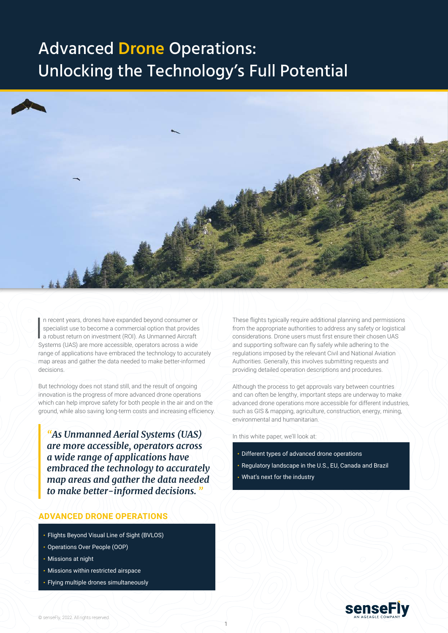

In recent years, drones have expanded beyond consumer or<br>specialist use to become a commercial option that provides<br>a robust return on investment (ROI). As Unmanned Aircraft<br>a constant of the part of the processible consta n recent years, drones have expanded beyond consumer or specialist use to become a commercial option that provides Systems (UAS) are more accessible, operators across a wide range of applications have embraced the technology to accurately map areas and gather the data needed to make better-informed decisions.

But technology does not stand still, and the result of ongoing innovation is the progress of more advanced drone operations which can help improve safety for both people in the air and on the ground, while also saving long-term costs and increasing efficiency.

*"As Unmanned Aerial Systems (UAS) are more accessible, operators across a wide range of applications have embraced the technology to accurately map areas and gather the data needed to make better-informed decisions. "*

## **ADVANCED DRONE OPERATIONS**

- Flights Beyond Visual Line of Sight (BVLOS)
- Operations Over People (OOP)
- Missions at night
- Missions within restricted airspace
- Flying multiple drones simultaneously

These flights typically require additional planning and permissions from the appropriate authorities to address any safety or logistical considerations. Drone users must first ensure their chosen UAS and supporting software can fly safely while adhering to the regulations imposed by the relevant Civil and National Aviation Authorities. Generally, this involves submitting requests and providing detailed operation descriptions and procedures.

Although the process to get approvals vary between countries and can often be lengthy, important steps are underway to make advanced drone operations more accessible for different industries, such as GIS & mapping, agriculture, construction, energy, mining, environmental and humanitarian.

In this white paper, we'll look at:

- Different types of advanced drone operations
- Regulatory landscape in the U.S., EU, Canada and Brazil
- What's next for the industry

1

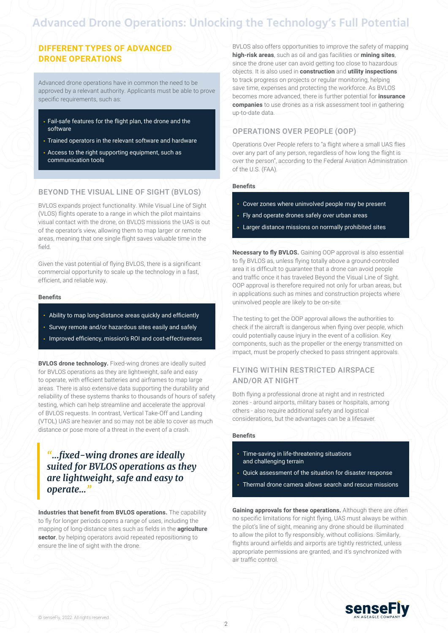## **DIFFERENT TYPES OF ADVANCED DRONE OPERATIONS**

Advanced drone operations have in common the need to be approved by a relevant authority. Applicants must be able to prove specific requirements, such as:

- Fail-safe features for the flight plan, the drone and the software
- Trained operators in the relevant software and hardware
- Access to the right supporting equipment, such as communication tools

## BEYOND THE VISUAL LINE OF SIGHT (BVLOS)

BVLOS expands project functionality. While Visual Line of Sight (VLOS) flights operate to a range in which the pilot maintains visual contact with the drone, on BVLOS missions the UAS is out of the operator's view, allowing them to map larger or remote areas, meaning that one single flight saves valuable time in the field.

Given the vast potential of flying BVLOS, there is a significant commercial opportunity to scale up the technology in a fast, efficient, and reliable way.

#### **Benefits**

- Ability to map long-distance areas quickly and efficiently
- Survey remote and/or hazardous sites easily and safely
- Improved efficiency, mission's ROI and cost-effectiveness

**BVLOS drone technology.** Fixed-wing drones are ideally suited for BVLOS operations as they are lightweight, safe and easy to operate, with efficient batteries and airframes to map large areas. There is also extensive data supporting the durability and reliability of these systems thanks to thousands of hours of safety testing, which can help streamline and accelerate the approval of BVLOS requests. In contrast, Vertical Take-Off and Landing (VTOL) UAS are heavier and so may not be able to cover as much distance or pose more of a threat in the event of a crash.

## *"...fixed-wing drones are ideally suited for BVLOS operations as they are lightweight, safe and easy to operate..."*

**Industries that benefit from BVLOS operations.** The capability to fly for longer periods opens a range of uses, including the mapping of long-distance sites such as fields in the **agriculture sector**, by helping operators avoid repeated repositioning to ensure the line of sight with the drone.

BVLOS also offers opportunities to improve the safety of mapping **high-risk areas**, such as oil and gas facilities or **mining sites**, since the drone user can avoid getting too close to hazardous objects. It is also used in **construction** and **utility inspections** to track progress on projects or regular monitoring, helping save time, expenses and protecting the workforce. As BVLOS becomes more advanced, there is further potential for **insurance companies** to use drones as a risk assessment tool in gathering up-to-date data.

## OPERATIONS OVER PEOPLE (OOP)

Operations Over People refers to "a flight where a small UAS flies over any part of any person, regardless of how long the flight is over the person", according to the Federal Aviation Administration of the U.S. (FAA).

#### **Benefits**

- Cover zones where uninvolved people may be present
- Fly and operate drones safely over urban areas
- Larger distance missions on normally prohibited sites

**Necessary to fly BVLOS.** Gaining OOP approval is also essential to fly BVLOS as, unless flying totally above a ground-controlled area it is difficult to guarantee that a drone can avoid people and traffic once it has traveled Beyond the Visual Line of Sight. OOP approval is therefore required not only for urban areas, but in applications such as mines and construction projects where uninvolved people are likely to be on-site.

The testing to get the OOP approval allows the authorities to check if the aircraft is dangerous when flying over people, which could potentially cause injury in the event of a collision. Key components, such as the propeller or the energy transmitted on impact, must be properly checked to pass stringent approvals.

### FLYING WITHIN RESTRICTED AIRSPACE AND/OR AT NIGHT

Both flying a professional drone at night and in restricted zones - around airports, military bases or hospitals, among others - also require additional safety and logistical considerations, but the advantages can be a lifesaver.

#### **Benefits**

- Time-saving in life-threatening situations and challenging terrain
- Quick assessment of the situation for disaster response
- Thermal drone camera allows search and rescue missions

**Gaining approvals for these operations.** Although there are often no specific limitations for night flying, UAS must always be within the pilot's line of sight, meaning any drone should be illuminated to allow the pilot to fly responsibly, without collisions. Similarly, flights around airfields and airports are tightly restricted, unless appropriate permissions are granted, and it's synchronized with air traffic control.

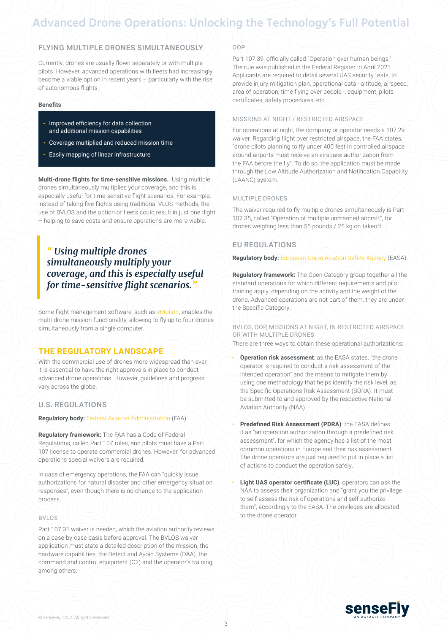## FLYING MULTIPLE DRONES SIMULTANEOUSLY

Currently, drones are usually flown separately or with multiple pilots. However, advanced operations with fleets had increasingly become a viable option in recent years – particularly with the rise of autonomous flights.

#### **Benefits**

- Improved efficiency for data collection and additional mission capabilities
- Coverage multiplied and reduced mission time
- Easily mapping of linear infrastructure

**Multi-drone flights for time-sensitive missions.** Using multiple drones simultaneously multiplies your coverage, and this is especially useful for time-sensitive flight scenarios. For example, instead of taking five flights using traditional VLOS methods, the use of BVLOS and the option of fleets could result in just one flight – helping to save costs and ensure operations are more viable.

## *" Using multiple drones simultaneously multiply your coverage, and this is especially useful for time-sensitive flight scenarios."*

Some flight management software, such as [eMotion,](https://www.sensefly.com/software/emotion/) enables the multi-drone mission functionality, allowing to fly up to four drones simultaneously from a single computer.

## **THE REGULATORY LANDSCAPE**

With the commercial use of drones more widespread than ever, it is essential to have the right approvals in place to conduct advanced drone operations. However, guidelines and progress vary across the globe.

## U.S. REGULATIONS

#### **Regulatory body:** [Federal Aviation Administration](https://www.faa.gov/) (FAA).

**Regulatory framework:** The FAA has a Code of Federal Regulations, called Part 107 rules, and pilots must have a Part 107 license to operate commercial drones. However, for advanced operations special waivers are required.

In case of emergency operations, the FAA can "quickly issue authorizations for natural disaster and other emergency situation responses", even though there is no change to the application process.

#### $BYI$

Part 107.31 waiver is needed, which the aviation authority reviews on a case-by-case basis before approval. The BVLOS waiver application must state a detailed description of the mission, the hardware capabilities, the Detect and Avoid Systems (DAA), the command and control equipment (C2) and the operator's training, among others.

#### OOP

Part 107.39, officially called "Operation over human beings." The rule was published in the Federal Register in April 2021. Applicants are required to detail several UAS security tests, to provide injury mitigation plan, operational data - altitude, airspeed, area of operation, time flying over people -, equipment, pilots certificates, safety procedures, etc.

#### MISSIONS AT NIGHT / RESTRICTED AIRSPACE

For operations at night, the company or operator needs a 107.29 waiver. Regarding flight over restricted airspace, the FAA states, "drone pilots planning to fly under 400 feet in controlled airspace around airports must receive an airspace authorization from the FAA before the fly". To do so, the application must be made through the Low Altitude Authorization and Notification Capability (LAANC) system.

#### MULTIPLE DRONES

The waiver required to fly multiple drones simultaneously is Part 107.35, called "Operation of multiple unmanned aircraft", for drones weighing less than 55 pounds / 25 kg on takeoff.

## EU REGULATIONS

**Regulatory body:** [European Union Aviation Safety Agency](https://www.easa.europa.eu/home) (EASA).

**Regulatory framework:** The Open Category group together all the standard operations for which different requirements and pilot training apply, depending on the activity and the weight of the drone. Advanced operations are not part of them, they are under the Specific Category.

#### BVLOS, OOP, MISSIONS AT NIGHT, IN RESTRICTED AIRSPACE OR WITH MULTIPLE DRONES

There are three ways to obtain these operational authorizations:

- **Operation risk assessment**: as the EASA states, "the drone operator is required to conduct a risk assessment of the intended operation" and the means to mitigate them by using one methodology that helps identify the risk level, as the Specific Operations Risk Assessment (SORA). It must be submitted to and approved by the respective National Aviation Authority (NAA).
- **Predefined Risk Assessment (PDRA)**: the EASA defines it as "an operation authorization through a predefined risk assessment", for which the agency has a list of the most common operations in Europe and their risk assessment. The drone operators are just required to put in place a list of actions to conduct the operation safely.
- **Light UAS operator certificate (LUC)**: operators can ask the NAA to assess their organization and "grant you the privilege to self-assess the risk of operations and self-authorize them", accordingly to the EASA. The privileges are allocated to the drone operator.

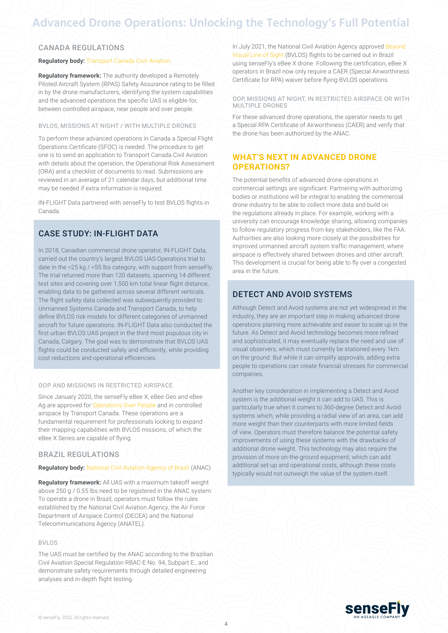## CANADA REGULATIONS

#### **Regulatory body: [Transport Canada Civil Aviation.](https://tc.canada.ca/en/aviation)**

**Regulatory framework:** The authority developed a Remotely Piloted Aircraft System (RPAS) Safety Assurance rating to be filled in by the drone manufacturers, identifying the system capabilities and the advanced operations the specific UAS is eligible for, between controlled airspace, near people and over people.

#### BVLOS, MISSIONS AT NIGHT / WITH MULTIPLE DRONES

To perform these advanced operations in Canada a Special Flight Operations Certificate (SFOC) is needed. The procedure to get one is to send an application to Transport Canada Civil Aviation with details about the operation, the Operational Risk Assessment (ORA) and a checklist of documents to read. Submissions are reviewed in an average of 21 calendar days, but additional time may be needed if extra information is required.

IN-FLIGHT Data partnered with senseFly to test BVLOS flights in Canada.

## CASE STUDY: IN-FLIGHT DATA

In 2018, Canadian commercial drone operator, IN-FLIGHT Data, carried out the country's largest BVLOS UAS Operations trial to date in the <25 kg / <55 lbs category, with support from senseFly. The trial returned more than 120 datasets, spanning 14 different test sites and covering over 1,500 km total linear flight distance, enabling data to be gathered across several different verticals. The flight safety data collected was subsequently provided to Unmanned Systems Canada and Transport Canada, to help define BVLOS risk models for different categories of unmanned aircraft for future operations. IN-FLIGHT Data also conducted the first urban BVLOS UAS project in the third most populous city in Canada, Calgary. The goal was to demonstrate that BVLOS UAS flights could be conducted safely and efficiently, while providing cost reductions and operational efficiencies.

#### OOP AND MISSIONS IN RESTRICTED AIRSPACE

Since January 2020, the senseFly eBee X, eBee Geo and eBee Ag are approved for [Operations Over People](https://www.sensefly.com/2020/01/09/ebee-x-approved-operations-over-people-transport-canada/) and in controlled airspace by Transport Canada. These operations are a fundamental requirement for professionals looking to expand their mapping capabilities with BVLOS missions, of which the eBee X Series are capable of flying.

## BRAZIL REGULATIONS

#### **Regulatory body:** [National Civil Aviation Agency of Brazil](https://www.gov.br/anac/en/topics/drones) (ANAC)

**Regulatory framework:** All UAS with a maximum takeoff weight above 250 g / 0.55 lbs need to be registered in the ANAC system. To operate a drone in Brazil, operators must follow the rules established by the National Civil Aviation Agency, the Air Force Department of Airspace Control (DECEA) and the National Telecommunications Agency (ANATEL).

#### BVLOS

The UAS must be certified by the ANAC according to the Brazilian Civil Aviation Special Regulation RBAC-E No. 94, Subpart E., and demonstrate safety requirements through detailed engineering analyses and in-depth flight testing.

In July 2021, the National Civil Aviation Agency approved [Beyond](https://www.sensefly.com/2021/07/20/brazils-civil-aviation-authority-approves-senseflys-flagship-ebee-x-fixed-wing-drone-for-beyond-visual-line-of-sight-bvlos-operations/)  [Visual Line of Sight](https://www.sensefly.com/2021/07/20/brazils-civil-aviation-authority-approves-senseflys-flagship-ebee-x-fixed-wing-drone-for-beyond-visual-line-of-sight-bvlos-operations/) (BVLOS) flights to be carried out in Brazil using senseFly's eBee X drone. Following the certification, eBee X operators in Brazil now only require a CAER (Special Airworthiness Certificate for RPA) waiver before flying BVLOS operations.

#### OOP, MISSIONS AT NIGHT, IN RESTRICTED AIRSPACE OR WITH MULTIPLE DRONES

For these advanced drone operations, the operator needs to get a Special RPA Certificate of Airworthiness (CAER) and verify that the drone has been authorized by the ANAC.

## **WHAT'S NEXT IN ADVANCED DRONE OPERATIONS?**

The potential benefits of advanced drone operations in commercial settings are significant. Partnering with authorizing bodies or institutions will be integral to enabling the commercial drone industry to be able to collect more data and build on the regulations already in place. For example, working with a university can encourage knowledge sharing, allowing companies to follow regulatory progress from key stakeholders, like the FAA. Authorities are also looking more closely at the possibilities for improved unmanned aircraft system traffic management, where airspace is effectively shared between drones and other aircraft. This development is crucial for being able to fly over a congested area in the future.

## DETECT AND AVOID SYSTEMS

Although Detect and Avoid systems are not yet widespread in the industry, they are an important step in making advanced drone operations planning more achievable and easier to scale up in the future. As Detect and Avoid technology becomes more refined and sophisticated, it may eventually replace the need and use of visual observers, which must currently be stationed every 1km on the ground. But while it can simplify approvals, adding extra people to operations can create financial stresses for commercial companies.

Another key consideration in implementing a Detect and Avoid system is the additional weight it can add to UAS. This is particularly true when it comes to 360-degree Detect and Avoid systems which, while providing a radial view of an area, can add more weight than their counterparts with more limited fields of view. Operators must therefore balance the potential safety improvements of using these systems with the drawbacks of additional drone weight. This technology may also require the provision of more on-the-ground equipment, which can add additional set-up and operational costs, although these costs typically would not outweigh the value of the system itself.